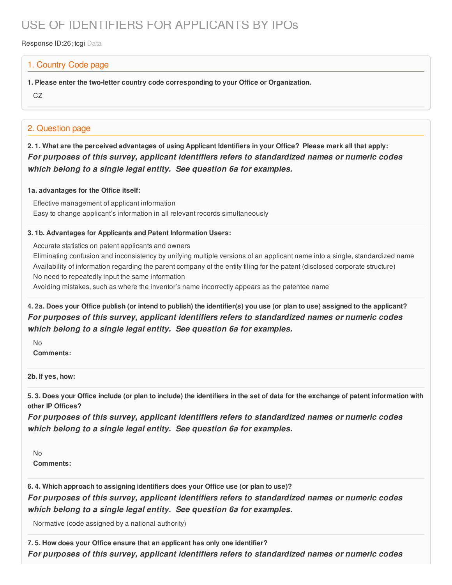# USE OF IDENTIFIERS FOR APPLICANTS BY IPOs

Response ID:26; tcgi Data

### 1. Country Code page

**1. Please enter the two-letter country code corresponding to your Office or Organization.**

CZ

## 2. Question page

2.1. What are the perceived advantages of using Applicant Identifiers in your Office? Please mark all that apply: *For purposes of this survey, applicant identifiers refers to standardized names or numeric codes which belong to a single legal entity. See question 6a for examples.*

#### **1a. advantages for the Office itself:**

Effective management of applicant information Easy to change applicant's information in all relevant records simultaneously

#### **3. 1b. Advantages for Applicants and Patent Information Users:**

Accurate statistics on patent applicants and owners

Eliminating confusion and inconsistency by unifying multiple versions of an applicant name into a single, standardized name Availability of information regarding the parent company of the entity filing for the patent (disclosed corporate structure) No need to repeatedly input the same information

Avoiding mistakes, such as where the inventor's name incorrectly appears as the patentee name

4. 2a. Does your Office publish (or intend to publish) the identifier(s) you use (or plan to use) assigned to the applicant? *For purposes of this survey, applicant identifiers refers to standardized names or numeric codes which belong to a single legal entity. See question 6a for examples.*

No **Comments:**

**2b. If yes, how:**

5.3. Does your Office include (or plan to include) the identifiers in the set of data for the exchange of patent information with **other IP Offices?**

*For purposes of this survey, applicant identifiers refers to standardized names or numeric codes which belong to a single legal entity. See question 6a for examples.*

No **Comments:**

**6. 4. Which approach to assigning identifiers does your Office use (or plan to use)?** *For purposes of this survey, applicant identifiers refers to standardized names or numeric codes which belong to a single legal entity. See question 6a for examples.*

Normative (code assigned by a national authority)

**7. 5. How does your Office ensure that an applicant has only one identifier?** *For purposes of this survey, applicant identifiers refers to standardized names or numeric codes*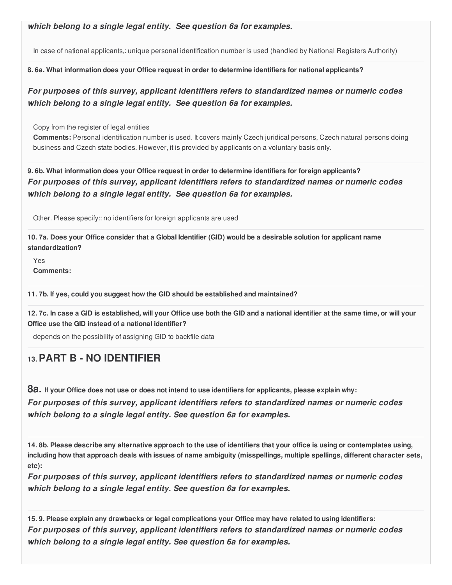*which belong to a single legal entity. See question 6a for examples.*

In case of national applicants,: unique personal identification number is used (handled by National Registers Authority)

**8. 6a. What information does your Office request in order to determine identifiers for national applicants?**

*For purposes of this survey, applicant identifiers refers to standardized names or numeric codes which belong to a single legal entity. See question 6a for examples.*

Copy from the register of legal entities

**Comments:** Personal identification number is used. It covers mainly Czech juridical persons, Czech natural persons doing business and Czech state bodies. However, it is provided by applicants on a voluntary basis only.

**9. 6b. What information does your Office request in order to determine identifiers for foreign applicants?** *For purposes of this survey, applicant identifiers refers to standardized names or numeric codes which belong to a single legal entity. See question 6a for examples.*

Other. Please specify:: no identifiers for foreign applicants are used

10.7a. Does your Office consider that a Global Identifier (GID) would be a desirable solution for applicant name **standardization?**

Yes **Comments:**

**11. 7b. If yes, could you suggest how the GID should be established and maintained?**

12.7c. In case a GID is established, will your Office use both the GID and a national identifier at the same time, or will your **Office use the GID instead of a national identifier?**

depends on the possibility of assigning GID to backfile data

# **13.PART B - NO IDENTIFIER**

8a. If your Office does not use or does not intend to use identifiers for applicants, please explain why: *For purposes of this survey, applicant identifiers refers to standardized names or numeric codes which belong to a single legal entity. See question 6a for examples.*

14.8b. Please describe any alternative approach to the use of identifiers that your office is using or contemplates using, including how that approach deals with issues of name ambiguity (misspellings, multiple spellings, different character sets, **etc):**

*For purposes of this survey, applicant identifiers refers to standardized names or numeric codes which belong to a single legal entity. See question 6a for examples.*

15.9. Please explain any drawbacks or legal complications your Office may have related to using identifiers: *For purposes of this survey, applicant identifiers refers to standardized names or numeric codes which belong to a single legal entity. See question 6a for examples.*